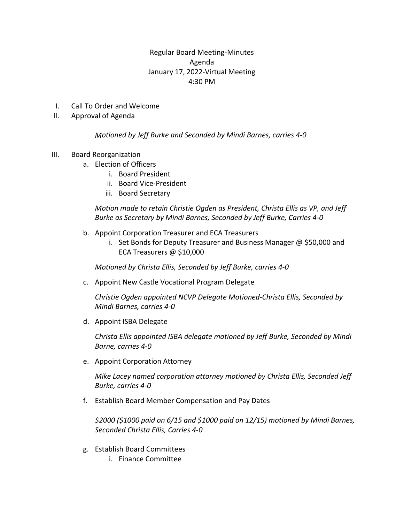# Regular Board Meeting-Minutes Agenda January 17, 2022-Virtual Meeting 4:30 PM

- I. Call To Order and Welcome
- II. Approval of Agenda

### *Motioned by Jeff Burke and Seconded by Mindi Barnes, carries 4-0*

- III. Board Reorganization
	- a. Election of Officers
		- i. Board President
		- ii. Board Vice-President
		- iii. Board Secretary

*Motion made to retain Christie Ogden as President, Christa Ellis as VP, and Jeff Burke as Secretary by Mindi Barnes, Seconded by Jeff Burke, Carries 4-0* 

- b. Appoint Corporation Treasurer and ECA Treasurers
	- i. Set Bonds for Deputy Treasurer and Business Manager @ \$50,000 and ECA Treasurers @ \$10,000

*Motioned by Christa Ellis, Seconded by Jeff Burke, carries 4-0* 

c. Appoint New Castle Vocational Program Delegate

*Christie Ogden appointed NCVP Delegate Motioned-Christa Ellis, Seconded by Mindi Barnes, carries 4-0*

d. Appoint ISBA Delegate

*Christa Ellis appointed ISBA delegate motioned by Jeff Burke, Seconded by Mindi Barne, carries 4-0*

e. Appoint Corporation Attorney

*Mike Lacey named corporation attorney motioned by Christa Ellis, Seconded Jeff Burke, carries 4-0*

f. Establish Board Member Compensation and Pay Dates

*\$2000 (\$1000 paid on 6/15 and \$1000 paid on 12/15) motioned by Mindi Barnes, Seconded Christa Ellis, Carries 4-0*

- g. Establish Board Committees
	- i. Finance Committee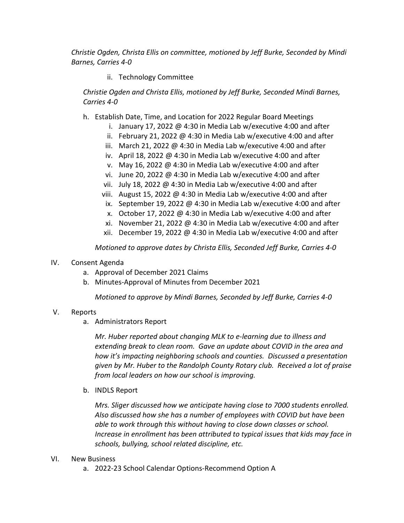*Christie Ogden, Christa Ellis on committee, motioned by Jeff Burke, Seconded by Mindi Barnes, Carries 4-0*

## ii. Technology Committee

*Christie Ogden and Christa Ellis, motioned by Jeff Burke, Seconded Mindi Barnes, Carries 4-0*

- h. Establish Date, Time, and Location for 2022 Regular Board Meetings
	- i. January 17, 2022 @ 4:30 in Media Lab w/executive 4:00 and after
	- ii. February 21, 2022 @ 4:30 in Media Lab w/executive 4:00 and after
	- iii. March 21, 2022 @ 4:30 in Media Lab w/executive 4:00 and after
	- iv. April 18, 2022 @ 4:30 in Media Lab w/executive 4:00 and after
	- v. May 16, 2022 @ 4:30 in Media Lab w/executive 4:00 and after
	- vi. June 20, 2022 @ 4:30 in Media Lab w/executive 4:00 and after
	- vii. July 18, 2022 @ 4:30 in Media Lab w/executive 4:00 and after
	- viii. August 15, 2022 @ 4:30 in Media Lab w/executive 4:00 and after
	- ix. September 19, 2022 @ 4:30 in Media Lab w/executive 4:00 and after
	- x. October 17, 2022 @ 4:30 in Media Lab w/executive 4:00 and after
	- xi. November 21, 2022 @ 4:30 in Media Lab w/executive 4:00 and after
	- xii. December 19, 2022 @ 4:30 in Media Lab w/executive 4:00 and after

*Motioned to approve dates by Christa Ellis, Seconded Jeff Burke, Carries 4-0*

### IV. Consent Agenda

- a. Approval of December 2021 Claims
- b. Minutes-Approval of Minutes from December 2021

*Motioned to approve by Mindi Barnes, Seconded by Jeff Burke, Carries 4-0*

### V. Reports

a. Administrators Report

*Mr. Huber reported about changing MLK to e-learning due to illness and extending break to clean room. Gave an update about COVID in the area and how it's impacting neighboring schools and counties. Discussed a presentation given by Mr. Huber to the Randolph County Rotary club. Received a lot of praise from local leaders on how our school is improving.*

b. INDLS Report

*Mrs. Sliger discussed how we anticipate having close to 7000 students enrolled. Also discussed how she has a number of employees with COVID but have been able to work through this without having to close down classes or school. Increase in enrollment has been attributed to typical issues that kids may face in schools, bullying, school related discipline, etc.*

- VI. New Business
	- a. 2022-23 School Calendar Options-Recommend Option A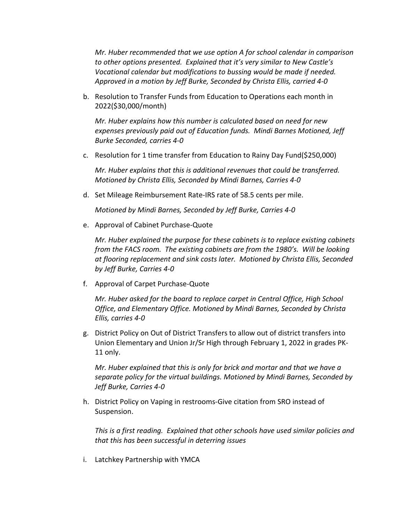*Mr. Huber recommended that we use option A for school calendar in comparison to other options presented. Explained that it's very similar to New Castle's Vocational calendar but modifications to bussing would be made if needed. Approved in a motion by Jeff Burke, Seconded by Christa Ellis, carried 4-0*

b. Resolution to Transfer Funds from Education to Operations each month in 2022(\$30,000/month)

*Mr. Huber explains how this number is calculated based on need for new expenses previously paid out of Education funds. Mindi Barnes Motioned, Jeff Burke Seconded, carries 4-0*

c. Resolution for 1 time transfer from Education to Rainy Day Fund(\$250,000)

*Mr. Huber explains that this is additional revenues that could be transferred. Motioned by Christa Ellis, Seconded by Mindi Barnes, Carries 4-0*

d. Set Mileage Reimbursement Rate-IRS rate of 58.5 cents per mile.

*Motioned by Mindi Barnes, Seconded by Jeff Burke, Carries 4-0*

e. Approval of Cabinet Purchase-Quote

*Mr. Huber explained the purpose for these cabinets is to replace existing cabinets from the FACS room. The existing cabinets are from the 1980's. Will be looking at flooring replacement and sink costs later. Motioned by Christa Ellis, Seconded by Jeff Burke, Carries 4-0*

f. Approval of Carpet Purchase-Quote

*Mr. Huber asked for the board to replace carpet in Central Office, High School Office, and Elementary Office. Motioned by Mindi Barnes, Seconded by Christa Ellis, carries 4-0*

g. District Policy on Out of District Transfers to allow out of district transfers into Union Elementary and Union Jr/Sr High through February 1, 2022 in grades PK-11 only.

*Mr. Huber explained that this is only for brick and mortar and that we have a separate policy for the virtual buildings. Motioned by Mindi Barnes, Seconded by Jeff Burke, Carries 4-0*

h. District Policy on Vaping in restrooms-Give citation from SRO instead of Suspension.

*This is a first reading. Explained that other schools have used similar policies and that this has been successful in deterring issues*

i. Latchkey Partnership with YMCA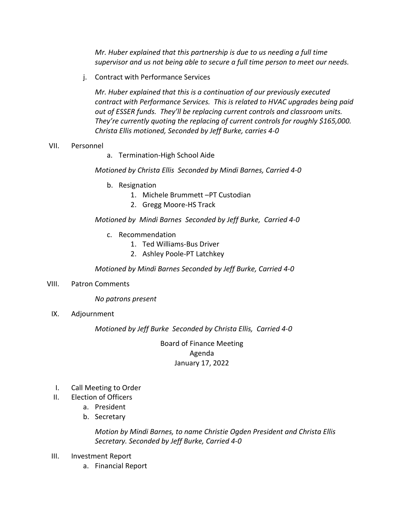*Mr. Huber explained that this partnership is due to us needing a full time supervisor and us not being able to secure a full time person to meet our needs.* 

j. Contract with Performance Services

*Mr. Huber explained that this is a continuation of our previously executed contract with Performance Services. This is related to HVAC upgrades being paid out of ESSER funds. They'll be replacing current controls and classroom units. They're currently quoting the replacing of current controls for roughly \$165,000. Christa Ellis motioned, Seconded by Jeff Burke, carries 4-0*

- VII. Personnel
- a. Termination-High School Aide

*Motioned by Christa Ellis Seconded by Mindi Barnes, Carried 4-0*

- b. Resignation
	- 1. Michele Brummett –PT Custodian
	- 2. Gregg Moore-HS Track

*Motioned by Mindi Barnes Seconded by Jeff Burke, Carried 4-0*

- c. Recommendation
	- 1. Ted Williams-Bus Driver
	- 2. Ashley Poole-PT Latchkey

*Motioned by Mindi Barnes Seconded by Jeff Burke, Carried 4-0*

VIII. Patron Comments

*No patrons present*

IX. Adjournment

*Motioned by Jeff Burke Seconded by Christa Ellis, Carried 4-0*

Board of Finance Meeting Agenda January 17, 2022

- I. Call Meeting to Order
- II. Election of Officers
	- a. President
	- b. Secretary

*Motion by Mindi Barnes, to name Christie Ogden President and Christa Ellis Secretary. Seconded by Jeff Burke, Carried 4-0*

- III. Investment Report
	- a. Financial Report